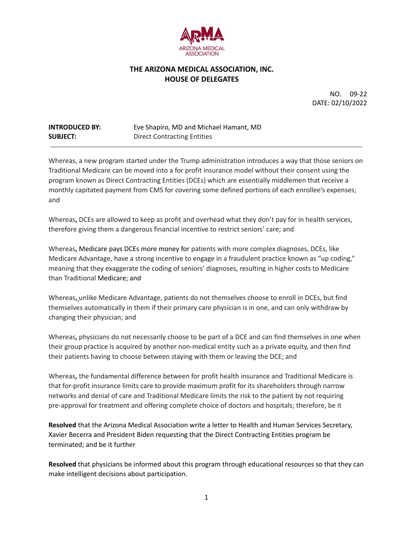

## **THE ARIZONA MEDICAL ASSOCIATION, INC. HOUSE OF DELEGATES**

NO. 09-22 DATE: 02/10/2022

## **INTRODUCED BY:** Eve Shapiro, MD and Michael Hamant, MD **SUBJECT:** Direct Contracting Entities

Whereas, a new program started under the Trump administration introduces a way that those seniors on Traditional Medicare can be moved into a for profit insurance model without their consent using the program known as Direct Contracting Entities (DCEs) which are essentially middlemen that receive a monthly capitated payment from CMS for covering some defined portions of each enrollee's expenses; and

Whereas**,** DCEs are allowed to keep as profit and overhead what they don't pay for in health services, therefore giving them a dangerous financial incentive to restrict seniors' care; and

Whereas**,** Medicare pays DCEs more money for patients with more complex diagnoses, DCEs, like Medicare Advantage, have a strong incentive to engage in a fraudulent practice known as "up coding," meaning that they exaggerate the coding of seniors' diagnoses, resulting in higher costs to Medicare than Traditional Medicare; and

Whereas**,** unlike Medicare Advantage, patients do not themselves choose to enroll in DCEs, but find themselves automatically in them if their primary care physician is in one, and can only withdraw by changing their physician; and

Whereas**,** physicians do not necessarily choose to be part of a DCE and can find themselves in one when their group practice is acquired by another non-medical entity such as a private equity, and then find their patients having to choose between staying with them or leaving the DCE; and

Whereas**,** the fundamental difference between for profit health insurance and Traditional Medicare is that for-profit insurance limits care to provide maximum profit for its shareholders through narrow networks and denial of care and Traditional Medicare limits the risk to the patient by not requiring pre-approval for treatment and offering complete choice of doctors and hospitals; therefore, be it

**Resolved** that the Arizona Medical Association write a letter to Health and Human Services Secretary, Xavier Becerra and President Biden requesting that the Direct Contracting Entities program be terminated; and be it further

**Resolved** that physicians be informed about this program through educational resources so that they can make intelligent decisions about participation.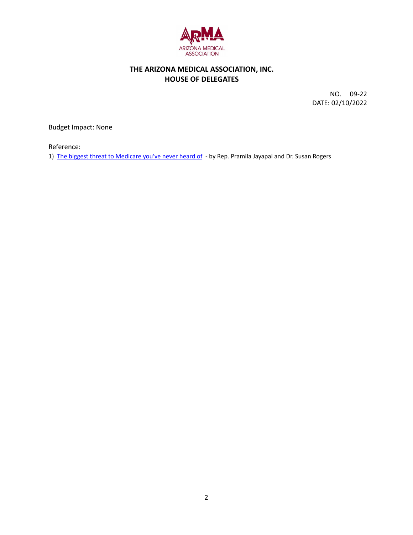

## **THE ARIZONA MEDICAL ASSOCIATION, INC. HOUSE OF DELEGATES**

NO. 09-22 DATE: 02/10/2022

Budget Impact: None

Reference:

1) The biggest threat to [Medicare](https://thehill.com/blogs/congress-blog/healthcare/585103-the-biggest-threat-to-medicare-youve-never-even-heard-of?eType=EmailBlastContent&eId=a488fd3e-dc01-4cd2-a3cf-2758b5d6f051) you've never heard of - by Rep. Pramila Jayapal and Dr. Susan Rogers